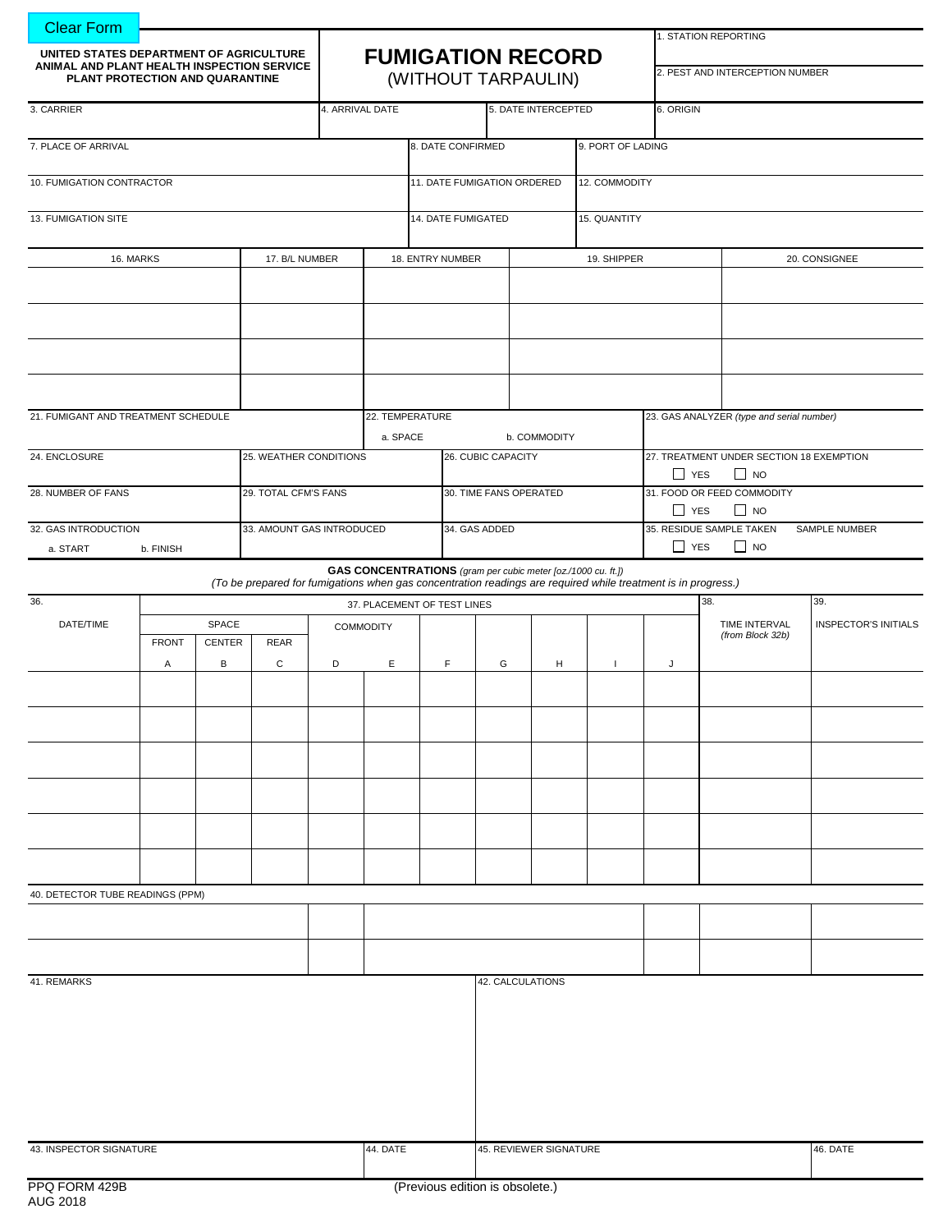| <b>Clear Form</b>                                                                                                        |              |                    |                                                                                                               |                        |                                                 |                                              |             |                                                              |              |                                 |                                                       |                                           |                             |  |
|--------------------------------------------------------------------------------------------------------------------------|--------------|--------------------|---------------------------------------------------------------------------------------------------------------|------------------------|-------------------------------------------------|----------------------------------------------|-------------|--------------------------------------------------------------|--------------|---------------------------------|-------------------------------------------------------|-------------------------------------------|-----------------------------|--|
| UNITED STATES DEPARTMENT OF AGRICULTURE<br>ANIMAL AND PLANT HEALTH INSPECTION SERVICE<br>PLANT PROTECTION AND QUARANTINE |              |                    |                                                                                                               |                        |                                                 |                                              |             |                                                              |              |                                 | 1. STATION REPORTING                                  |                                           |                             |  |
|                                                                                                                          |              |                    |                                                                                                               |                        | <b>FUMIGATION RECORD</b><br>(WITHOUT TARPAULIN) |                                              |             |                                                              |              | 2. PEST AND INTERCEPTION NUMBER |                                                       |                                           |                             |  |
| 3. CARRIER                                                                                                               |              |                    |                                                                                                               | 4. ARRIVAL DATE        |                                                 |                                              |             | 5. DATE INTERCEPTED                                          |              | 6. ORIGIN                       |                                                       |                                           |                             |  |
| 7. PLACE OF ARRIVAL                                                                                                      |              |                    |                                                                                                               |                        |                                                 | 8. DATE CONFIRMED                            |             | 9. PORT OF LADING                                            |              |                                 |                                                       |                                           |                             |  |
| 10. FUMIGATION CONTRACTOR                                                                                                |              |                    |                                                                                                               |                        |                                                 | 11. DATE FUMIGATION ORDERED<br>12. COMMODITY |             |                                                              |              |                                 |                                                       |                                           |                             |  |
| 13. FUMIGATION SITE                                                                                                      |              |                    |                                                                                                               |                        | 14. DATE FUMIGATED                              |                                              |             |                                                              | 15. QUANTITY |                                 |                                                       |                                           |                             |  |
| 17. B/L NUMBER                                                                                                           |              |                    |                                                                                                               | 18. ENTRY NUMBER       |                                                 |                                              | 19. SHIPPER |                                                              |              |                                 | 20. CONSIGNEE                                         |                                           |                             |  |
| 16. MARKS                                                                                                                |              |                    |                                                                                                               |                        |                                                 |                                              |             |                                                              |              |                                 |                                                       |                                           |                             |  |
|                                                                                                                          |              |                    |                                                                                                               |                        |                                                 |                                              |             |                                                              |              |                                 |                                                       |                                           |                             |  |
|                                                                                                                          |              |                    |                                                                                                               |                        |                                                 |                                              |             |                                                              |              |                                 |                                                       |                                           |                             |  |
|                                                                                                                          |              |                    |                                                                                                               |                        |                                                 |                                              |             |                                                              |              |                                 |                                                       |                                           |                             |  |
|                                                                                                                          |              |                    |                                                                                                               |                        |                                                 |                                              |             |                                                              |              |                                 |                                                       |                                           |                             |  |
| 21. FUMIGANT AND TREATMENT SCHEDULE                                                                                      |              |                    |                                                                                                               |                        |                                                 | 22. TEMPERATURE                              |             |                                                              |              |                                 |                                                       | 23. GAS ANALYZER (type and serial number) |                             |  |
| 24. ENCLOSURE                                                                                                            |              |                    |                                                                                                               |                        | a. SPACE                                        |                                              |             | b. COMMODITY<br>26. CUBIC CAPACITY                           |              |                                 | 27. TREATMENT UNDER SECTION 18 EXEMPTION              |                                           |                             |  |
|                                                                                                                          |              |                    |                                                                                                               | 25. WEATHER CONDITIONS |                                                 |                                              |             |                                                              |              | $\Box$ YES                      | $\Box$ NO                                             |                                           |                             |  |
| 29. TOTAL CFM'S FANS<br>28. NUMBER OF FANS                                                                               |              |                    |                                                                                                               |                        |                                                 |                                              |             | 30. TIME FANS OPERATED                                       |              |                                 | 31. FOOD OR FEED COMMODITY<br>$\Box$ YES<br>$\Box$ NO |                                           |                             |  |
| 32. GAS INTRODUCTION                                                                                                     |              |                    | 33. AMOUNT GAS INTRODUCED                                                                                     |                        |                                                 |                                              |             | 34. GAS ADDED                                                |              |                                 | 35. RESIDUE SAMPLE TAKEN<br>SAMPLE NUMBER             |                                           |                             |  |
| a. START                                                                                                                 | b. FINISH    |                    |                                                                                                               |                        |                                                 |                                              |             |                                                              |              | $\Box$ YES                      |                                                       | $\Box$ NO                                 |                             |  |
|                                                                                                                          |              |                    | (To be prepared for fumigations when gas concentration readings are required while treatment is in progress.) |                        |                                                 |                                              |             | GAS CONCENTRATIONS (gram per cubic meter [oz./1000 cu. ft.]) |              |                                 |                                                       |                                           |                             |  |
| 36.                                                                                                                      |              |                    |                                                                                                               |                        | 37. PLACEMENT OF TEST LINES                     |                                              |             |                                                              |              |                                 | 38.<br>39.                                            |                                           |                             |  |
| DATE/TIME                                                                                                                | <b>SPACE</b> |                    |                                                                                                               | <b>COMMODITY</b>       |                                                 |                                              |             |                                                              |              |                                 |                                                       | TIME INTERVAL<br>(from Block 32b)         | <b>INSPECTOR'S INITIALS</b> |  |
|                                                                                                                          | <b>FRONT</b> | <b>CENTER</b><br>В | <b>REAR</b><br>$\mathsf{C}$                                                                                   | D                      | E                                               | F.                                           | G           | н                                                            | $\mathbf{I}$ | J                               |                                                       |                                           |                             |  |
|                                                                                                                          | Α            |                    |                                                                                                               |                        |                                                 |                                              |             |                                                              |              |                                 |                                                       |                                           |                             |  |
|                                                                                                                          |              |                    |                                                                                                               |                        |                                                 |                                              |             |                                                              |              |                                 |                                                       |                                           |                             |  |
|                                                                                                                          |              |                    |                                                                                                               |                        |                                                 |                                              |             |                                                              |              |                                 |                                                       |                                           |                             |  |
|                                                                                                                          |              |                    |                                                                                                               |                        |                                                 |                                              |             |                                                              |              |                                 |                                                       |                                           |                             |  |
|                                                                                                                          |              |                    |                                                                                                               |                        |                                                 |                                              |             |                                                              |              |                                 |                                                       |                                           |                             |  |
|                                                                                                                          |              |                    |                                                                                                               |                        |                                                 |                                              |             |                                                              |              |                                 |                                                       |                                           |                             |  |
|                                                                                                                          |              |                    |                                                                                                               |                        |                                                 |                                              |             |                                                              |              |                                 |                                                       |                                           |                             |  |
| 40. DETECTOR TUBE READINGS (PPM)                                                                                         |              |                    |                                                                                                               |                        |                                                 |                                              |             |                                                              |              |                                 |                                                       |                                           |                             |  |
|                                                                                                                          |              |                    |                                                                                                               |                        |                                                 |                                              |             |                                                              |              |                                 |                                                       |                                           |                             |  |
|                                                                                                                          |              |                    |                                                                                                               |                        |                                                 |                                              |             |                                                              |              |                                 |                                                       |                                           |                             |  |
| 41. REMARKS                                                                                                              |              |                    |                                                                                                               |                        |                                                 |                                              |             | 42. CALCULATIONS                                             |              |                                 |                                                       |                                           |                             |  |
|                                                                                                                          |              |                    |                                                                                                               |                        |                                                 |                                              |             |                                                              |              |                                 |                                                       |                                           |                             |  |
|                                                                                                                          |              |                    |                                                                                                               |                        |                                                 |                                              |             |                                                              |              |                                 |                                                       |                                           |                             |  |
|                                                                                                                          |              |                    |                                                                                                               |                        |                                                 |                                              |             |                                                              |              |                                 |                                                       |                                           |                             |  |
|                                                                                                                          |              |                    |                                                                                                               |                        |                                                 |                                              |             |                                                              |              |                                 |                                                       |                                           |                             |  |
|                                                                                                                          |              |                    |                                                                                                               |                        |                                                 |                                              |             |                                                              |              |                                 |                                                       |                                           |                             |  |
| 43. INSPECTOR SIGNATURE                                                                                                  |              |                    |                                                                                                               |                        | 44. DATE                                        |                                              |             | 45. REVIEWER SIGNATURE                                       |              |                                 |                                                       |                                           | 46. DATE                    |  |
|                                                                                                                          |              |                    |                                                                                                               |                        |                                                 |                                              |             |                                                              |              |                                 |                                                       |                                           |                             |  |